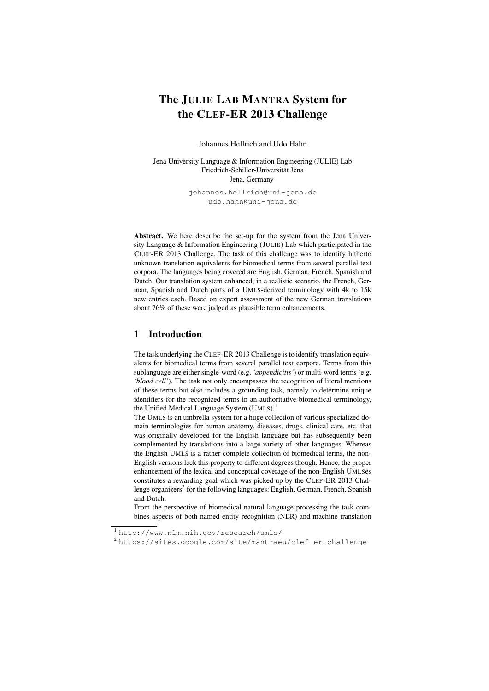# The JULIE LAB MANTRA System for the CLEF-ER 2013 Challenge

Johannes Hellrich and Udo Hahn

Jena University Language & Information Engineering (JULIE) Lab Friedrich-Schiller-Universitat Jena ¨ Jena, Germany

> johannes.hellrich@uni-jena.de udo.hahn@uni-jena.de

Abstract. We here describe the set-up for the system from the Jena University Language & Information Engineering (JULIE) Lab which participated in the CLEF-ER 2013 Challenge. The task of this challenge was to identify hitherto unknown translation equivalents for biomedical terms from several parallel text corpora. The languages being covered are English, German, French, Spanish and Dutch. Our translation system enhanced, in a realistic scenario, the French, German, Spanish and Dutch parts of a UMLS-derived terminology with 4k to 15k new entries each. Based on expert assessment of the new German translations about 76% of these were judged as plausible term enhancements.

### 1 Introduction

The task underlying the CLEF-ER 2013 Challenge is to identify translation equivalents for biomedical terms from several parallel text corpora. Terms from this sublanguage are either single-word (e.g. *'appendicitis'*) or multi-word terms (e.g. *'blood cell'*). The task not only encompasses the recognition of literal mentions of these terms but also includes a grounding task, namely to determine unique identifiers for the recognized terms in an authoritative biomedical terminology, the Unified Medical Language System (UMLS).<sup>1</sup>

The UMLS is an umbrella system for a huge collection of various specialized domain terminologies for human anatomy, diseases, drugs, clinical care, etc. that was originally developed for the English language but has subsequently been complemented by translations into a large variety of other languages. Whereas the English UMLS is a rather complete collection of biomedical terms, the non-English versions lack this property to different degrees though. Hence, the proper enhancement of the lexical and conceptual coverage of the non-English UMLSes constitutes a rewarding goal which was picked up by the CLEF-ER 2013 Challenge organizers<sup>2</sup> for the following languages: English, German, French, Spanish and Dutch.

From the perspective of biomedical natural language processing the task combines aspects of both named entity recognition (NER) and machine translation

<sup>1</sup> http://www.nlm.nih.gov/research/umls/

<sup>2</sup> https://sites.google.com/site/mantraeu/clef-er-challenge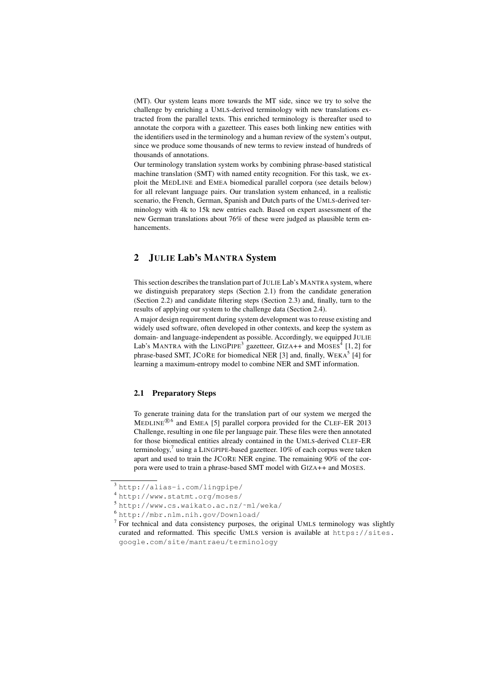(MT). Our system leans more towards the MT side, since we try to solve the challenge by enriching a UMLS-derived terminology with new translations extracted from the parallel texts. This enriched terminology is thereafter used to annotate the corpora with a gazetteer. This eases both linking new entities with the identifiers used in the terminology and a human review of the system's output, since we produce some thousands of new terms to review instead of hundreds of thousands of annotations.

Our terminology translation system works by combining phrase-based statistical machine translation (SMT) with named entity recognition. For this task, we exploit the MEDLINE and EMEA biomedical parallel corpora (see details below) for all relevant language pairs. Our translation system enhanced, in a realistic scenario, the French, German, Spanish and Dutch parts of the UMLS-derived terminology with 4k to 15k new entries each. Based on expert assessment of the new German translations about 76% of these were judged as plausible term enhancements.

# 2 JULIE Lab's MANTRA System

This section describes the translation part of JULIE Lab's MANTRA system, where we distinguish preparatory steps (Section 2.1) from the candidate generation (Section 2.2) and candidate filtering steps (Section 2.3) and, finally, turn to the results of applying our system to the challenge data (Section 2.4).

A major design requirement during system development was to reuse existing and widely used software, often developed in other contexts, and keep the system as domain- and language-independent as possible. Accordingly, we equipped JULIE Lab's MANTRA with the LINGPIPE<sup>3</sup> gazetteer, GIZA++ and MOSES<sup>4</sup> [1, 2] for phrase-based SMT, JCORE for biomedical NER [3] and, finally, WEKA<sup>5</sup> [4] for learning a maximum-entropy model to combine NER and SMT information.

#### 2.1 Preparatory Steps

To generate training data for the translation part of our system we merged the  $MEDLINE^{@6}$  and EMEA [5] parallel corpora provided for the CLEF-ER 2013 Challenge, resulting in one file per language pair. These files were then annotated for those biomedical entities already contained in the UMLS-derived CLEF-ER terminology,<sup>7</sup> using a LINGPIPE-based gazetteer. 10% of each corpus were taken apart and used to train the JCORE NER engine. The remaining 90% of the corpora were used to train a phrase-based SMT model with GIZA++ and MOSES.

<sup>3</sup> http://alias-i.com/lingpipe/

<sup>4</sup> http://www.statmt.org/moses/

<sup>5</sup> http://www.cs.waikato.ac.nz/˜ml/weka/

<sup>6</sup> http://mbr.nlm.nih.gov/Download/

 $7$  For technical and data consistency purposes, the original UMLS terminology was slightly curated and reformatted. This specific UMLS version is available at https://sites. google.com/site/mantraeu/terminology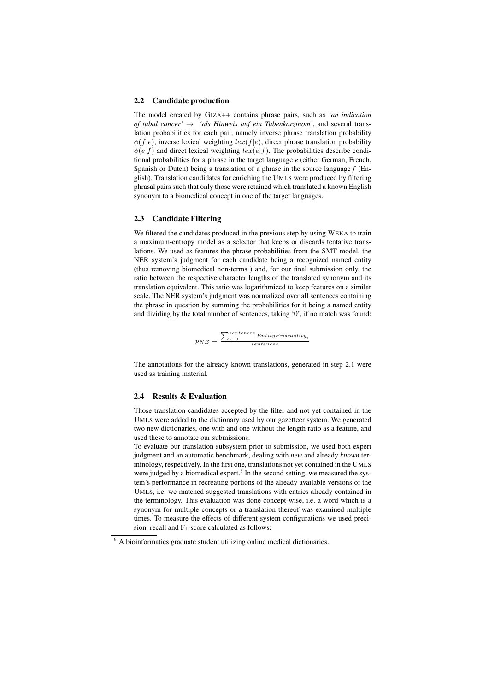#### 2.2 Candidate production

The model created by GIZA++ contains phrase pairs, such as *'an indication of tubal cancer'* → *'als Hinweis auf ein Tubenkarzinom'*, and several translation probabilities for each pair, namely inverse phrase translation probability  $\phi(f|e)$ , inverse lexical weighting  $lex(f|e)$ , direct phrase translation probability  $\phi(e|f)$  and direct lexical weighting  $lex(e|f)$ . The probabilities describe conditional probabilities for a phrase in the target language *e* (either German, French, Spanish or Dutch) being a translation of a phrase in the source language *f* (English). Translation candidates for enriching the UMLS were produced by filtering phrasal pairs such that only those were retained which translated a known English synonym to a biomedical concept in one of the target languages.

#### 2.3 Candidate Filtering

We filtered the candidates produced in the previous step by using WEKA to train a maximum-entropy model as a selector that keeps or discards tentative translations. We used as features the phrase probabilities from the SMT model, the NER system's judgment for each candidate being a recognized named entity (thus removing biomedical non-terms ) and, for our final submission only, the ratio between the respective character lengths of the translated synonym and its translation equivalent. This ratio was logarithmized to keep features on a similar scale. The NER system's judgment was normalized over all sentences containing the phrase in question by summing the probabilities for it being a named entity and dividing by the total number of sentences, taking '0', if no match was found:

$$
p_{NE} = \frac{\sum_{i=0}^{sentences} EntityProbability_i}{sentences}
$$

The annotations for the already known translations, generated in step 2.1 were used as training material.

#### 2.4 Results & Evaluation

Those translation candidates accepted by the filter and not yet contained in the UMLS were added to the dictionary used by our gazetteer system. We generated two new dictionaries, one with and one without the length ratio as a feature, and used these to annotate our submissions.

To evaluate our translation subsystem prior to submission, we used both expert judgment and an automatic benchmark, dealing with *new* and already *known* terminology, respectively. In the first one, translations not yet contained in the UMLS were judged by a biomedical expert.<sup>8</sup> In the second setting, we measured the system's performance in recreating portions of the already available versions of the UMLS, i.e. we matched suggested translations with entries already contained in the terminology. This evaluation was done concept-wise, i.e. a word which is a synonym for multiple concepts or a translation thereof was examined multiple times. To measure the effects of different system configurations we used precision, recall and  $F_1$ -score calculated as follows:

<sup>&</sup>lt;sup>8</sup> A bioinformatics graduate student utilizing online medical dictionaries.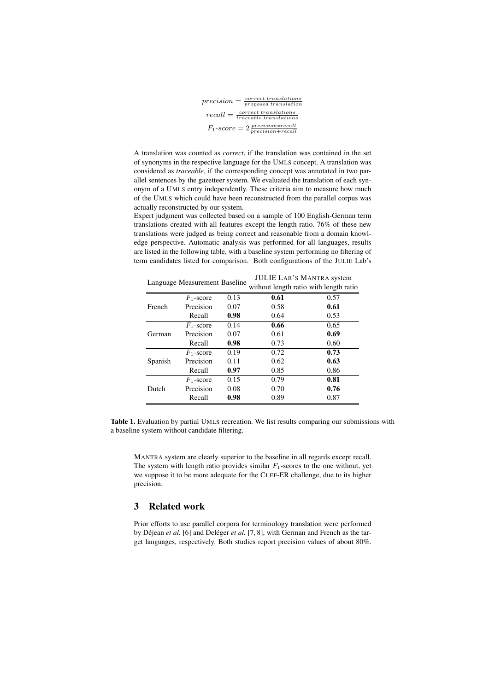$precision = \frac{correct\, translations}{proposed\, translation}$  $recall = \frac{correct\ translations}{traceable\ translations}$  $F_1\text{-}score = 2\frac{precision*recall}{precision+recall}$ 

A translation was counted as *correct*, if the translation was contained in the set of synonyms in the respective language for the UMLS concept. A translation was considered as *traceable*, if the corresponding concept was annotated in two parallel sentences by the gazetteer system. We evaluated the translation of each synonym of a UMLS entry independently. These criteria aim to measure how much of the UMLS which could have been reconstructed from the parallel corpus was actually reconstructed by our system.

Expert judgment was collected based on a sample of 100 English-German term translations created with all features except the length ratio. 76% of these new translations were judged as being correct and reasonable from a domain knowledge perspective. Automatic analysis was performed for all languages, results are listed in the following table, with a baseline system performing no filtering of term candidates listed for comparison. Both configurations of the JULIE Lab's

| Language Measurement Baseline<br>without length ratio with length ratio |              |      |      |      |
|-------------------------------------------------------------------------|--------------|------|------|------|
| French                                                                  | $F_1$ -score | 0.13 | 0.61 | 0.57 |
|                                                                         | Precision    | 0.07 | 0.58 | 0.61 |
|                                                                         | Recall       | 0.98 | 0.64 | 0.53 |
| German                                                                  | $F_1$ -score | 0.14 | 0.66 | 0.65 |
|                                                                         | Precision    | 0.07 | 0.61 | 0.69 |
|                                                                         | Recall       | 0.98 | 0.73 | 0.60 |
| Spanish                                                                 | $F_1$ -score | 0.19 | 0.72 | 0.73 |
|                                                                         | Precision    | 0.11 | 0.62 | 0.63 |
|                                                                         | Recall       | 0.97 | 0.85 | 0.86 |
| Dutch                                                                   | $F_1$ -score | 0.15 | 0.79 | 0.81 |
|                                                                         | Precision    | 0.08 | 0.70 | 0.76 |
|                                                                         | Recall       | 0.98 | 0.89 | 0.87 |

 $L = L + 1.4R$ 's Mantra system

Table 1. Evaluation by partial UMLS recreation. We list results comparing our submissions with a baseline system without candidate filtering.

MANTRA system are clearly superior to the baseline in all regards except recall. The system with length ratio provides similar  $F_1$ -scores to the one without, yet we suppose it to be more adequate for the CLEF-ER challenge, due to its higher precision.

# 3 Related work

Prior efforts to use parallel corpora for terminology translation were performed by Déjean et al. [6] and Deléger et al. [7, 8], with German and French as the target languages, respectively. Both studies report precision values of about 80%.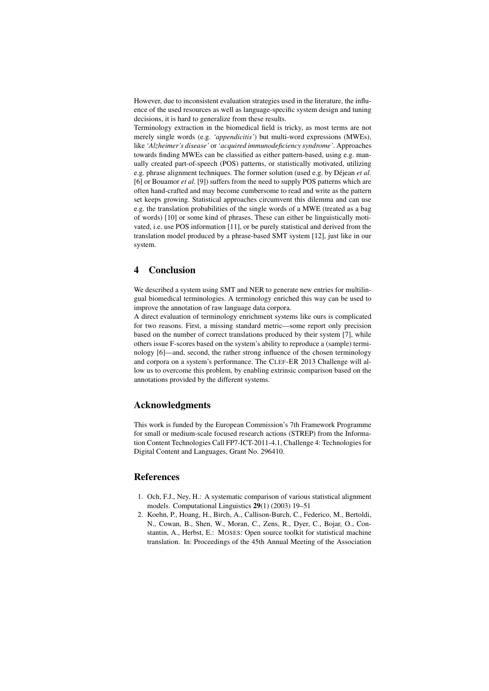However, due to inconsistent evaluation strategies used in the literature, the influence of the used resources as well as language-specific system design and tuning decisions, it is hard to generalize from these results.

Terminology extraction in the biomedical field is tricky, as most terms are not merely single words (e.g. *'appendicitis'*) but multi-word expressions (MWEs), like *'Alzheimer's disease'* or *'acquired immunodeficiency syndrome'*. Approaches towards finding MWEs can be classified as either pattern-based, using e.g. manually created part-of-speech (POS) patterns, or statistically motivated, utilizing e.g. phrase alignment techniques. The former solution (used e.g. by Déjean *et al.*) [6] or Bouamor *et al.* [9]) suffers from the need to supply POS patterns which are often hand-crafted and may become cumbersome to read and write as the pattern set keeps growing. Statistical approaches circumvent this dilemma and can use e.g. the translation probabilities of the single words of a MWE (treated as a bag of words) [10] or some kind of phrases. These can either be linguistically motivated, i.e. use POS information [11], or be purely statistical and derived from the translation model produced by a phrase-based SMT system [12], just like in our system.

## 4 Conclusion

We described a system using SMT and NER to generate new entries for multilingual biomedical terminologies. A terminology enriched this way can be used to improve the annotation of raw language data corpora.

A direct evaluation of terminology enrichment systems like ours is complicated for two reasons. First, a missing standard metric—some report only precision based on the number of correct translations produced by their system [7], while others issue F-scores based on the system's ability to reproduce a (sample) terminology [6]—and, second, the rather strong influence of the chosen terminology and corpora on a system's performance. The CLEF-ER 2013 Challenge will allow us to overcome this problem, by enabling extrinsic comparison based on the annotations provided by the different systems.

### Acknowledgments

This work is funded by the European Commission's 7th Framework Programme for small or medium-scale focused research actions (STREP) from the Information Content Technologies Call FP7-ICT-2011-4.1, Challenge 4: Technologies for Digital Content and Languages, Grant No. 296410.

### References

- 1. Och, F.J., Ney, H.: A systematic comparison of various statistical alignment models. Computational Linguistics 29(1) (2003) 19–51
- 2. Koehn, P., Hoang, H., Birch, A., Callison-Burch, C., Federico, M., Bertoldi, N., Cowan, B., Shen, W., Moran, C., Zens, R., Dyer, C., Bojar, O., Constantin, A., Herbst, E.: MOSES: Open source toolkit for statistical machine translation. In: Proceedings of the 45th Annual Meeting of the Association